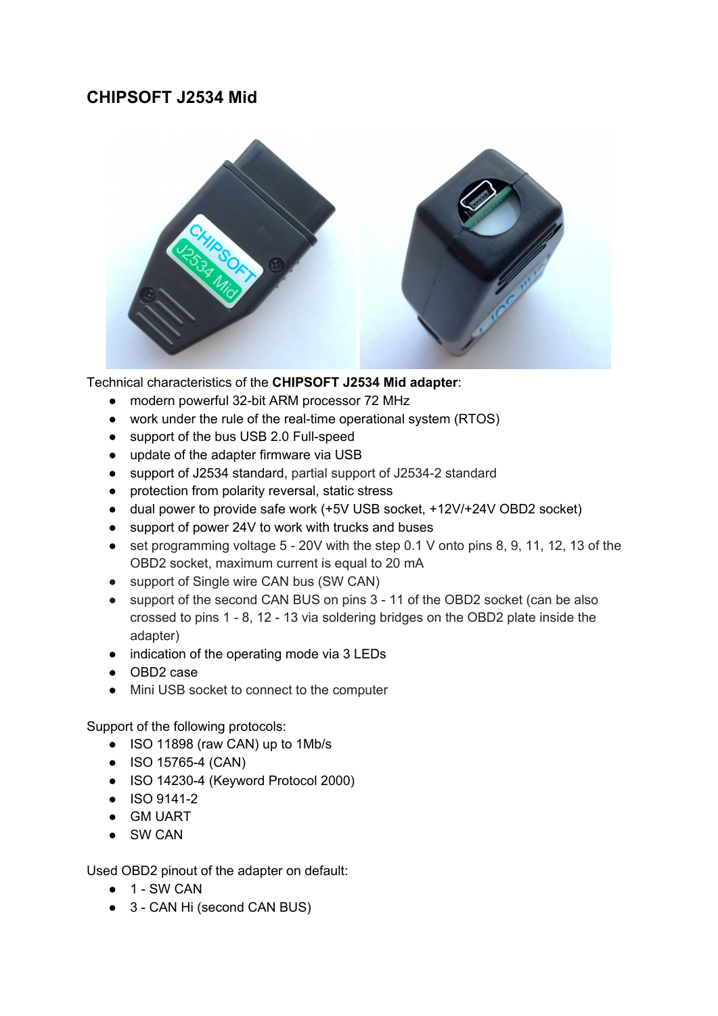# **CHIPSOFT J2534 Mid**



Technical characteristics of the **CHIPSOFT J2534 Mid adapter**:

- modern powerful 32-bit ARM processor 72 MHz
- work under the rule of the real-time operational system (RTOS)
- support of the bus USB 2.0 Full-speed
- update of the adapter firmware via USB
- support of J2534 standard, partial support of J2534-2 standard
- protection from polarity reversal, static stress
- dual power to provide safe work (+5V USB socket, +12V/+24V OBD2 socket)
- support of power 24V to work with trucks and buses
- $\bullet$  set programming voltage 5 20V with the step 0.1 V onto pins 8, 9, 11, 12, 13 of the OBD2 socket, maximum current is equal to 20 mA
- support of Single wire CAN bus (SW CAN)
- support of the second CAN BUS on pins 3 11 of the OBD2 socket (can be also crossed to pins 1 - 8, 12 - 13 via soldering bridges on the OBD2 plate inside the adapter)
- indication of the operating mode via 3 LEDs
- OBD2 case
- Mini USB socket to connect to the computer

## Support of the following protocols:

- ISO 11898 (raw CAN) up to 1Mb/s
- ISO 15765-4 (CAN)
- ISO 14230-4 (Keyword Protocol 2000)
- ISO 9141-2
- GM UART
- SW CAN

Used OBD2 pinout of the adapter on default:

- 1 SW CAN
- 3 CAN Hi (second CAN BUS)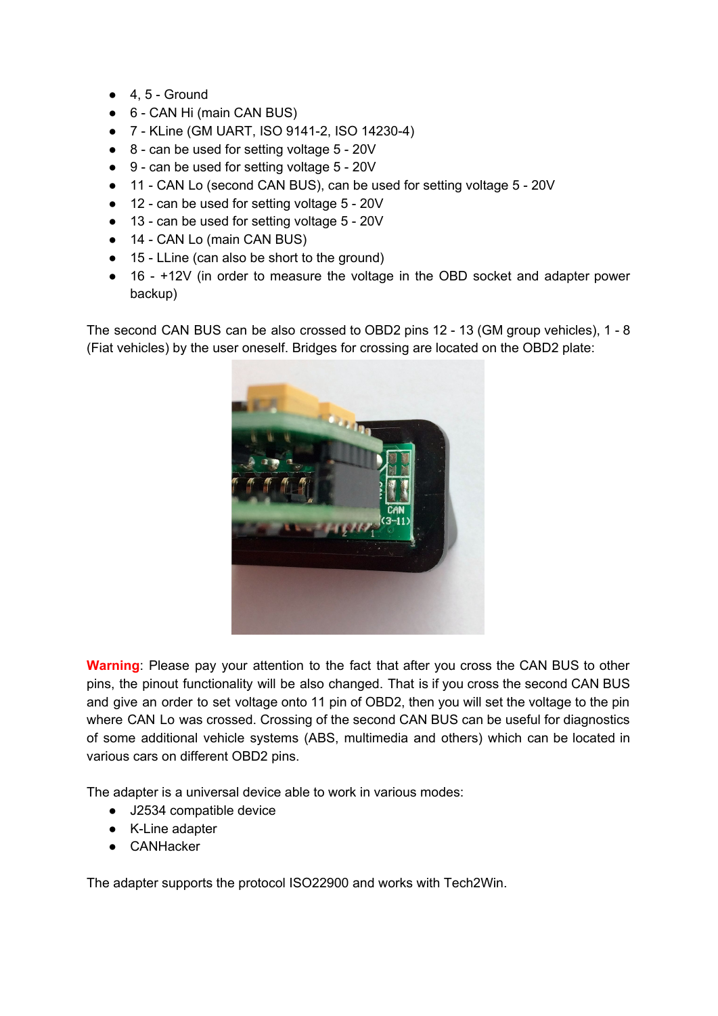- $\bullet$  4, 5 Ground
- 6 CAN Hi (main CAN BUS)
- 7 KLine (GM UART, ISO 9141-2, ISO 14230-4)
- 8 can be used for setting voltage 5 20V
- 9 can be used for setting voltage 5 20V
- 11 CAN Lo (second CAN BUS), can be used for setting voltage 5 20V
- 12 can be used for setting voltage 5 20V
- 13 can be used for setting voltage 5 20V
- 14 CAN Lo (main CAN BUS)
- 15 LLine (can also be short to the ground)
- 16 +12V (in order to measure the voltage in the OBD socket and adapter power backup)

The second CAN BUS can be also crossed to OBD2 pins 12 - 13 (GM group vehicles), 1 - 8 (Fiat vehicles) by the user oneself. Bridges for crossing are located on the OBD2 plate:



**Warning**: Please pay your attention to the fact that after you cross the CAN BUS to other pins, the pinout functionality will be also changed. That is if you cross the second CAN BUS and give an order to set voltage onto 11 pin of OBD2, then you will set the voltage to the pin where CAN Lo was crossed. Crossing of the second CAN BUS can be useful for diagnostics of some additional vehicle systems (ABS, multimedia and others) which can be located in various cars on different OBD2 pins.

The adapter is a universal device able to work in various modes:

- J2534 compatible device
- K-Line adapter
- CANHacker

The adapter supports the protocol ISO22900 and works with Tech2Win.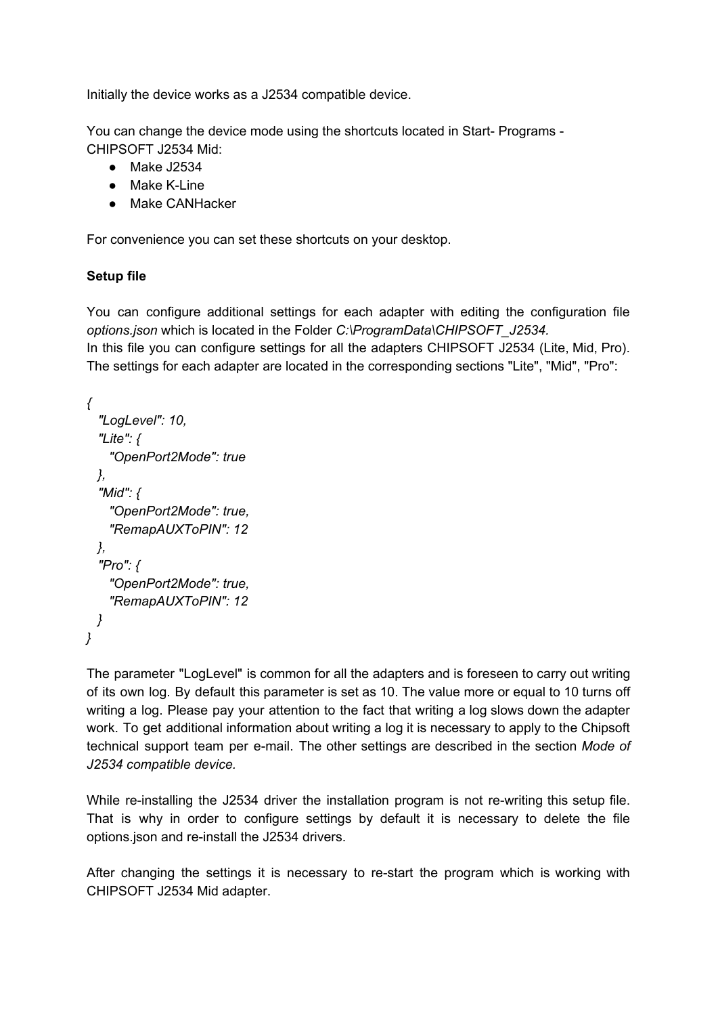Initially the device works as a J2534 compatible device.

You can change the device mode using the shortcuts located in Start- Programs - CHIPSOFT J2534 Mid:

- Make J2534
- Make K-Line
- Make CANHacker

For convenience you can set these shortcuts on your desktop.

## **Setup file**

You can configure additional settings for each adapter with editing the configuration file *options.json* which is located in the Folder *C:\ProgramData\CHIPSOFT\_J2534.* In this file you can configure settings for all the adapters CHIPSOFT J2534 (Lite, Mid, Pro). The settings for each adapter are located in the corresponding sections "Lite", "Mid", "Pro":

```
{
  "LogLevel": 10,
  "Lite": {
   "OpenPort2Mode": true
 },
  "Mid": {
   "OpenPort2Mode": true,
   "RemapAUXToPIN": 12
 },
  "Pro": {
   "OpenPort2Mode": true,
   "RemapAUXToPIN": 12
 }
}
```
The parameter "LogLevel" is common for all the adapters and is foreseen to carry out writing of its own log. By default this parameter is set as 10. The value more or equal to 10 turns off writing a log. Please pay your attention to the fact that writing a log slows down the adapter work. To get additional information about writing a log it is necessary to apply to the Chipsoft technical support team per e-mail. The other settings are described in the section *Mode of J2534 compatible device.*

While re-installing the J2534 driver the installation program is not re-writing this setup file. That is why in order to configure settings by default it is necessary to delete the file options.json and re-install the J2534 drivers.

After changing the settings it is necessary to re-start the program which is working with CHIPSOFT J2534 Mid adapter.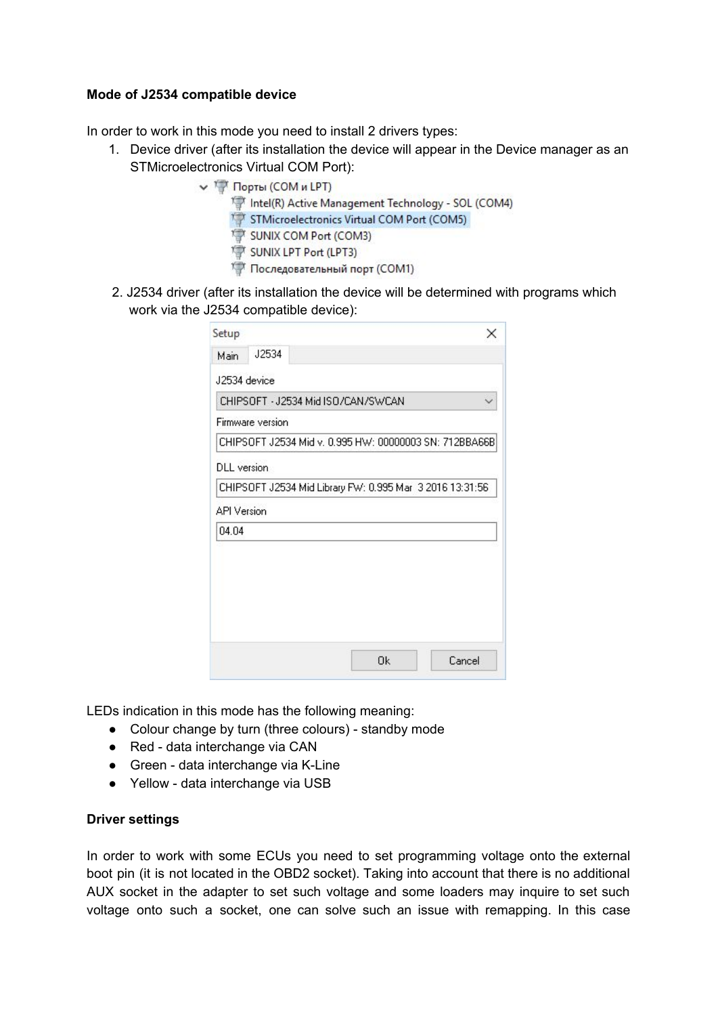#### **Mode of J2534 compatible device**

In order to work in this mode you need to install 2 drivers types:

- 1. Device driver (after its installation the device will appear in the Device manager as an STMicroelectronics Virtual COM Port):
	- V Порты (СОМ и LPT)
		- Intel(R) Active Management Technology SOL (COM4)
		- STMicroelectronics Virtual COM Port (COM5)
		- SUNIX COM Port (COM3)
		- SUNIX LPT Port (LPT3)
		- Последовательный порт (СОМ1)
- 2. J2534 driver (after its installation the device will be determined with programs which work via the J2534 compatible device):

| Setup              | ×                                                        |
|--------------------|----------------------------------------------------------|
| J2534<br>Main      |                                                          |
| J2534 device       |                                                          |
|                    | CHIPSOFT - J2534 Mid ISO/CAN/SWCAN                       |
| Firmware version   |                                                          |
|                    | CHIPSOFT J2534 Mid v. 0.995 HW: 00000003 SN: 712BBA66B   |
| <b>DLL</b> version |                                                          |
|                    | CHIPSOFT J2534 Mid Library FW: 0.995 Mar 3 2016 13:31:56 |
| <b>API Version</b> |                                                          |
| 04.04              |                                                          |
|                    |                                                          |
|                    |                                                          |
|                    |                                                          |
|                    |                                                          |
|                    |                                                          |
|                    | 0 <sub>k</sub><br>Cancel                                 |

LEDs indication in this mode has the following meaning:

- Colour change by turn (three colours) standby mode
- Red data interchange via CAN
- Green data interchange via K-Line
- Yellow data interchange via USB

#### **Driver settings**

In order to work with some ECUs you need to set programming voltage onto the external boot pin (it is not located in the OBD2 socket). Taking into account that there is no additional AUX socket in the adapter to set such voltage and some loaders may inquire to set such voltage onto such a socket, one can solve such an issue with remapping. In this case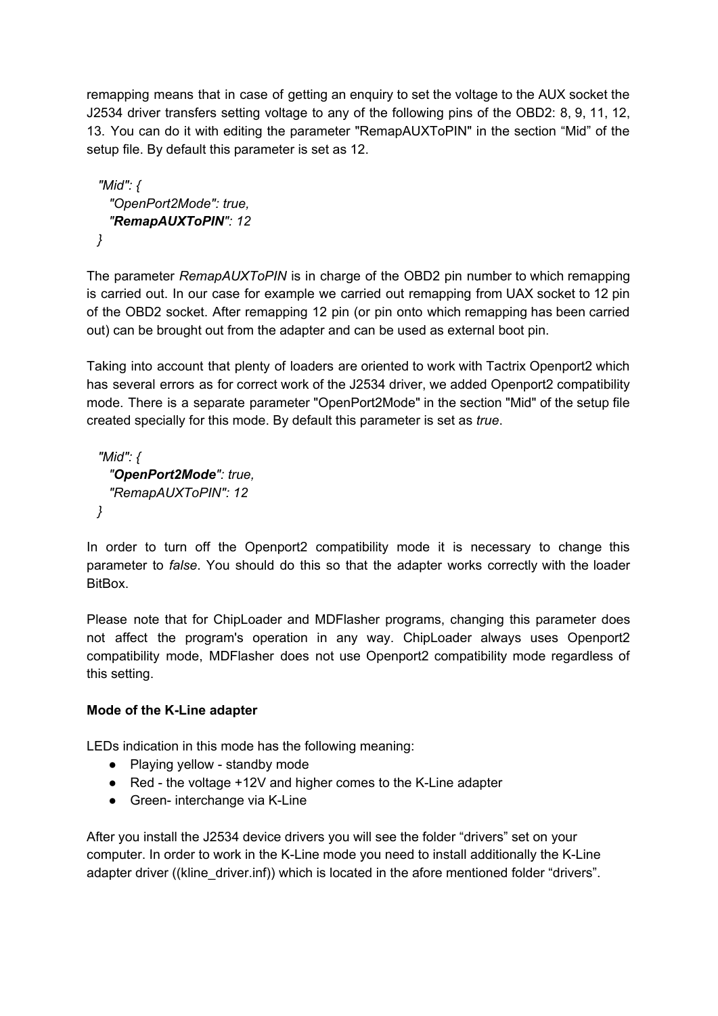remapping means that in case of getting an enquiry to set the voltage to the AUX socket the J2534 driver transfers setting voltage to any of the following pins of the OBD2: 8, 9, 11, 12, 13. You can do it with editing the parameter "RemapAUXToPIN" in the section "Mid" of the setup file. By default this parameter is set as 12.

```
"Mid": {
  "OpenPort2Mode": true,
  "RemapAUXToPIN": 12
}
```
The parameter *RemapAUXToPIN* is in charge of the OBD2 pin number to which remapping is carried out. In our case for example we carried out remapping from UAX socket to 12 pin of the OBD2 socket. After remapping 12 pin (or pin onto which remapping has been carried out) can be brought out from the adapter and can be used as external boot pin.

Taking into account that plenty of loaders are oriented to work with Tactrix Openport2 which has several errors as for correct work of the J2534 driver, we added Openport2 compatibility mode. There is a separate parameter "OpenPort2Mode" in the section "Mid" of the setup file created specially for this mode. By default this parameter is set as *true*.

```
"Mid": {
  "OpenPort2Mode": true,
  "RemapAUXToPIN": 12
}
```
In order to turn off the Openport2 compatibility mode it is necessary to change this parameter to *false*. You should do this so that the adapter works correctly with the loader BitBox.

Please note that for ChipLoader and MDFlasher programs, changing this parameter does not affect the program's operation in any way. ChipLoader always uses Openport2 compatibility mode, MDFlasher does not use Openport2 compatibility mode regardless of this setting.

## **Mode of the K-Line adapter**

LEDs indication in this mode has the following meaning:

- Playing yellow standby mode
- Red the voltage +12V and higher comes to the K-Line adapter
- Green- interchange via K-Line

After you install the J2534 device drivers you will see the folder "drivers" set on your computer. In order to work in the K-Line mode you need to install additionally the K-Line adapter driver ((kline\_driver.inf)) which is located in the afore mentioned folder "drivers".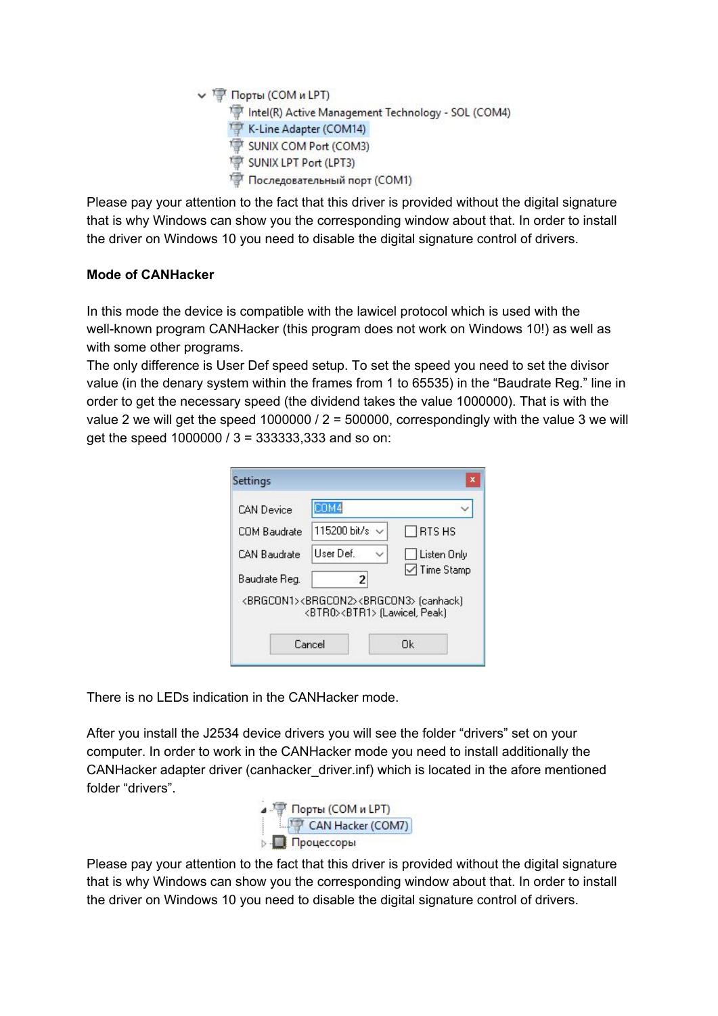```
V T Порты (СОМ и LPT)
     Intel(R) Active Management Technology - SOL (COM4)
     K-Line Adapter (COM14)
     SUNIX COM Port (COM3)
     SUNIX LPT Port (LPT3)
     Последовательный порт (СОМ1)
```
Please pay your attention to the fact that this driver is provided without the digital signature that is why Windows can show you the corresponding window about that. In order to install the driver on Windows 10 you need to disable the digital signature control of drivers.

## **Mode of CANHacker**

In this mode the device is compatible with the lawicel protocol which is used with the well-known program CANHacker (this program does not work on Windows 10!) as well as with some other programs.

The only difference is User Def speed setup. To set the speed you need to set the divisor value (in the denary system within the frames from 1 to 65535) in the "Baudrate Reg." line in order to get the necessary speed (the dividend takes the value 1000000). That is with the value 2 we will get the speed 1000000 /  $2 = 500000$ , correspondingly with the value 3 we will get the speed 1000000 / 3 = 333333,333 and so on:

| <b>CAN Device</b>   | COM4                                                                                                               |                            |
|---------------------|--------------------------------------------------------------------------------------------------------------------|----------------------------|
| COM Baudrate        | 115200 bit/s $\vee$                                                                                                | <b>RTSHS</b>               |
| <b>CAN Baudrate</b> | <b>User Def.</b>                                                                                                   | Listen Only                |
| Baudrate Reg.       | 2                                                                                                                  | $\triangledown$ Time Stamp |
|                     | <brgcon1><brgcon2><brgcon3> (canhack)<br/><btr0><btr1> [Lawicel, Peak]</btr1></btr0></brgcon3></brgcon2></brgcon1> |                            |
|                     | Cancel                                                                                                             | Πk                         |

There is no LEDs indication in the CANHacker mode.

After you install the J2534 device drivers you will see the folder "drivers" set on your computer. In order to work in the CANHacker mode you need to install additionally the CANHacker adapter driver (canhacker\_driver.inf) which is located in the afore mentioned folder "drivers".



Please pay your attention to the fact that this driver is provided without the digital signature that is why Windows can show you the corresponding window about that. In order to install the driver on Windows 10 you need to disable the digital signature control of drivers.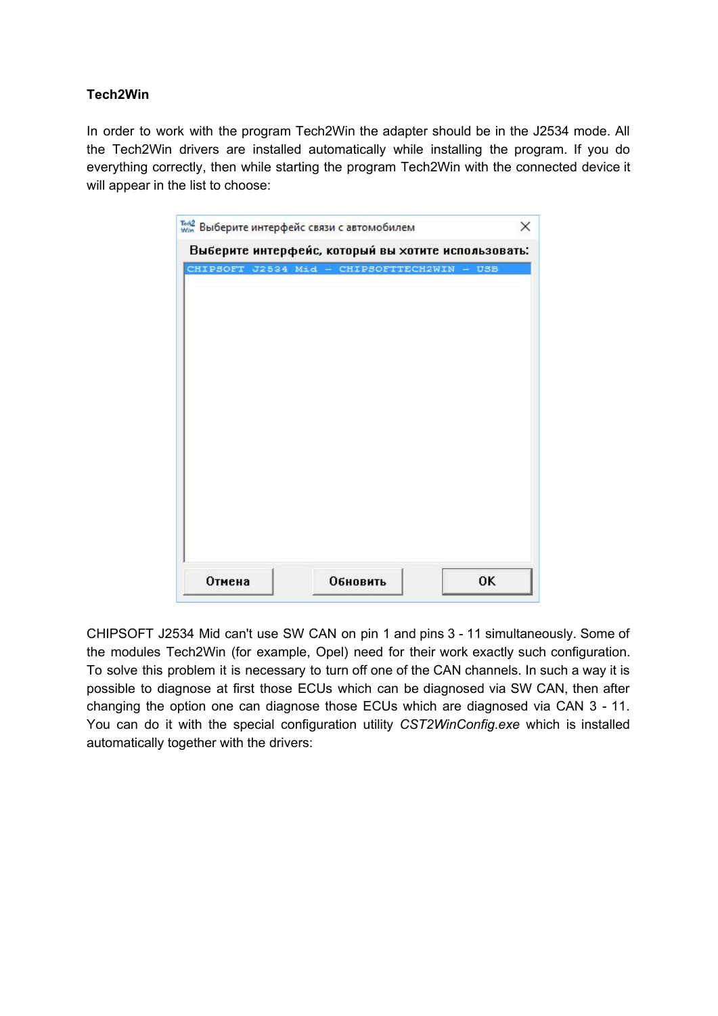## **Tech2Win**

In order to work with the program Tech2Win the adapter should be in the J2534 mode. All the Tech2Win drivers are installed automatically while installing the program. If you do everything correctly, then while starting the program Tech2Win with the connected device it will appear in the list to choose:

|  | CHIPSOFT J2534 Mid - CHIPSOFTTECH2WIN - USB |
|--|---------------------------------------------|
|  |                                             |
|  |                                             |
|  |                                             |
|  |                                             |
|  |                                             |
|  |                                             |
|  |                                             |
|  |                                             |
|  |                                             |
|  |                                             |
|  |                                             |
|  |                                             |
|  |                                             |

CHIPSOFT J2534 Mid can't use SW CAN on pin 1 and pins 3 - 11 simultaneously. Some of the modules Tech2Win (for example, Opel) need for their work exactly such configuration. To solve this problem it is necessary to turn off one of the CAN channels. In such a way it is possible to diagnose at first those ECUs which can be diagnosed via SW CAN, then after changing the option one can diagnose those ECUs which are diagnosed via CAN 3 - 11. You can do it with the special configuration utility *CST2WinConfig.exe* which is installed automatically together with the drivers: